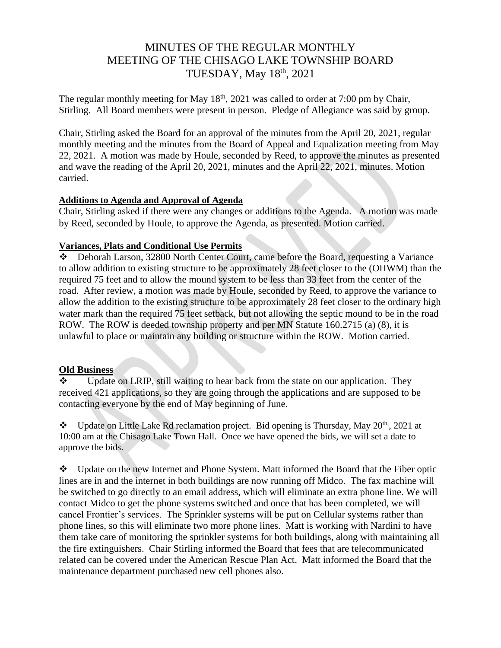# MINUTES OF THE REGULAR MONTHLY MEETING OF THE CHISAGO LAKE TOWNSHIP BOARD TUESDAY, May 18th, 2021

The regular monthly meeting for May  $18<sup>th</sup>$ , 2021 was called to order at 7:00 pm by Chair, Stirling. All Board members were present in person. Pledge of Allegiance was said by group.

Chair, Stirling asked the Board for an approval of the minutes from the April 20, 2021, regular monthly meeting and the minutes from the Board of Appeal and Equalization meeting from May 22, 2021. A motion was made by Houle, seconded by Reed, to approve the minutes as presented and wave the reading of the April 20, 2021, minutes and the April 22, 2021, minutes. Motion carried.

### **Additions to Agenda and Approval of Agenda**

Chair, Stirling asked if there were any changes or additions to the Agenda. A motion was made by Reed, seconded by Houle, to approve the Agenda, as presented. Motion carried.

### **Variances, Plats and Conditional Use Permits**

Deborah Larson, 32800 North Center Court, came before the Board, requesting a Variance to allow addition to existing structure to be approximately 28 feet closer to the (OHWM) than the required 75 feet and to allow the mound system to be less than 33 feet from the center of the road. After review, a motion was made by Houle, seconded by Reed, to approve the variance to allow the addition to the existing structure to be approximately 28 feet closer to the ordinary high water mark than the required 75 feet setback, but not allowing the septic mound to be in the road ROW. The ROW is deeded township property and per MN Statute 160.2715 (a) (8), it is unlawful to place or maintain any building or structure within the ROW. Motion carried.

#### **Old Business**

Update on LRIP, still waiting to hear back from the state on our application. They received 421 applications, so they are going through the applications and are supposed to be contacting everyone by the end of May beginning of June.

❖ Update on Little Lake Rd reclamation project. Bid opening is Thursday, May 20th, , 2021 at 10:00 am at the Chisago Lake Town Hall. Once we have opened the bids, we will set a date to approve the bids.

❖ Update on the new Internet and Phone System. Matt informed the Board that the Fiber optic lines are in and the internet in both buildings are now running off Midco. The fax machine will be switched to go directly to an email address, which will eliminate an extra phone line. We will contact Midco to get the phone systems switched and once that has been completed, we will cancel Frontier's services. The Sprinkler systems will be put on Cellular systems rather than phone lines, so this will eliminate two more phone lines. Matt is working with Nardini to have them take care of monitoring the sprinkler systems for both buildings, along with maintaining all the fire extinguishers. Chair Stirling informed the Board that fees that are telecommunicated related can be covered under the American Rescue Plan Act. Matt informed the Board that the maintenance department purchased new cell phones also.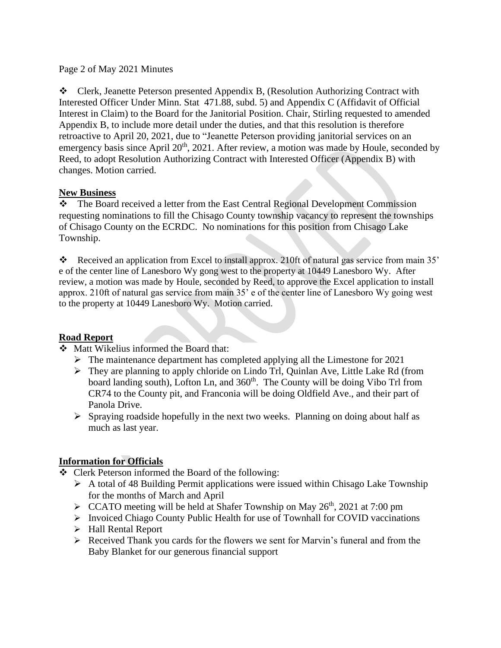### Page 2 of May 2021 Minutes

❖ Clerk, Jeanette Peterson presented Appendix B, (Resolution Authorizing Contract with Interested Officer Under Minn. Stat 471.88, subd. 5) and Appendix C (Affidavit of Official Interest in Claim) to the Board for the Janitorial Position. Chair, Stirling requested to amended Appendix B, to include more detail under the duties, and that this resolution is therefore retroactive to April 20, 2021, due to "Jeanette Peterson providing janitorial services on an emergency basis since April  $20<sup>th</sup>$ ,  $2021$ . After review, a motion was made by Houle, seconded by Reed, to adopt Resolution Authorizing Contract with Interested Officer (Appendix B) with changes. Motion carried.

### **New Business**

❖ The Board received a letter from the East Central Regional Development Commission requesting nominations to fill the Chisago County township vacancy to represent the townships of Chisago County on the ECRDC. No nominations for this position from Chisago Lake Township.

❖ Received an application from Excel to install approx. 210ft of natural gas service from main 35' e of the center line of Lanesboro Wy gong west to the property at 10449 Lanesboro Wy. After review, a motion was made by Houle, seconded by Reed, to approve the Excel application to install approx. 210ft of natural gas service from main 35' e of the center line of Lanesboro Wy going west to the property at 10449 Lanesboro Wy. Motion carried.

## **Road Report**

❖ Matt Wikelius informed the Board that:

- ➢ The maintenance department has completed applying all the Limestone for 2021
- ➢ They are planning to apply chloride on Lindo Trl, Quinlan Ave, Little Lake Rd (from board landing south), Lofton Ln, and 360<sup>th</sup>. The County will be doing Vibo Trl from CR74 to the County pit, and Franconia will be doing Oldfield Ave., and their part of Panola Drive.
- $\triangleright$  Spraying roadside hopefully in the next two weeks. Planning on doing about half as much as last year.

## **Information for Officials**

- ❖ Clerk Peterson informed the Board of the following:
	- ➢ A total of 48 Building Permit applications were issued within Chisago Lake Township for the months of March and April
	- $\triangleright$  CCATO meeting will be held at Shafer Township on May 26<sup>th</sup>, 2021 at 7:00 pm
	- ➢ Invoiced Chiago County Public Health for use of Townhall for COVID vaccinations
	- ➢ Hall Rental Report
	- ➢ Received Thank you cards for the flowers we sent for Marvin's funeral and from the Baby Blanket for our generous financial support